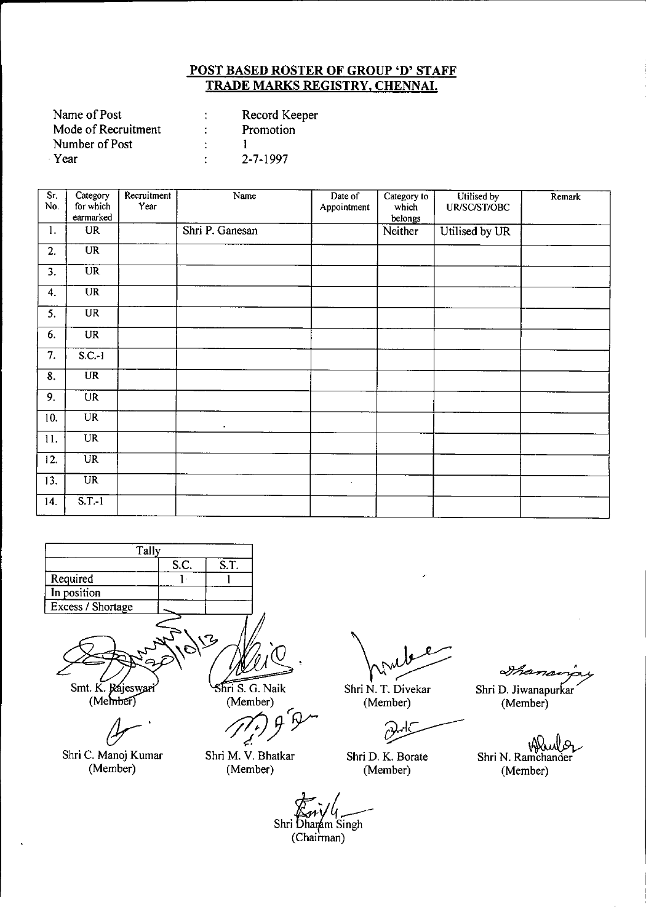| Record Keeper  |
|----------------|
| Promotion      |
|                |
| $2 - 7 - 1997$ |
|                |

| Sr.<br>No. | Category<br>for which<br>earmarked | Recruitment<br>Year | Name            | Date of<br>Appointment | Category to<br>which<br>belongs | Utilised by<br>UR/SC/ST/OBC | Remark |
|------------|------------------------------------|---------------------|-----------------|------------------------|---------------------------------|-----------------------------|--------|
| 1.         | <b>UR</b>                          |                     | Shri P. Ganesan |                        | Neither                         | Utilised by UR              |        |
| 2.         | $\overline{\text{UR}}$             |                     |                 |                        |                                 |                             |        |
| 3.         | <b>UR</b>                          |                     |                 |                        |                                 |                             |        |
| 4.         | $\overline{UR}$                    |                     |                 |                        |                                 |                             |        |
| 5.         | $\overline{UR}$                    |                     |                 |                        |                                 |                             |        |
| 6.         | UR                                 |                     |                 |                        |                                 |                             |        |
| 7.         | $S.C.-1$                           |                     |                 |                        |                                 |                             |        |
| 8.         | <b>UR</b>                          |                     |                 |                        |                                 |                             |        |
| 9.         | <b>UR</b>                          |                     |                 |                        |                                 |                             |        |
| 10.        | <b>UR</b>                          |                     | $\bullet$       |                        |                                 |                             |        |
| 11.        | <b>UR</b>                          |                     |                 |                        |                                 |                             |        |
| 12.        | $\overline{UR}$                    |                     |                 |                        |                                 |                             |        |
| 13.        | $\overline{UR}$                    |                     |                 | $\mathcal{A}^{\pm}$    |                                 |                             |        |
| 14.        | $\overline{\text{S.T.-1}}$         |                     |                 |                        |                                 |                             |        |



*cJr'*

Shri C. Manoj Kumar (Member)

(Member)<br> *//<sub>t</sub>/ )* + <sup>1</sup>/<br> *d r*

Shri M. V. Bhatkar (Member)

Shri W N. T. Divekar

(Member)

Ċ

Shri D. K. Borate (Member)

 $\partial$ han

Shri D. Jiwanapurkar (Member)

Shri N. Ramchander (Member)

 $\mathbb{Z}_n$ ifl $\mathbb{Z}_n$ Shri Dharam Singh  $(Chainman)$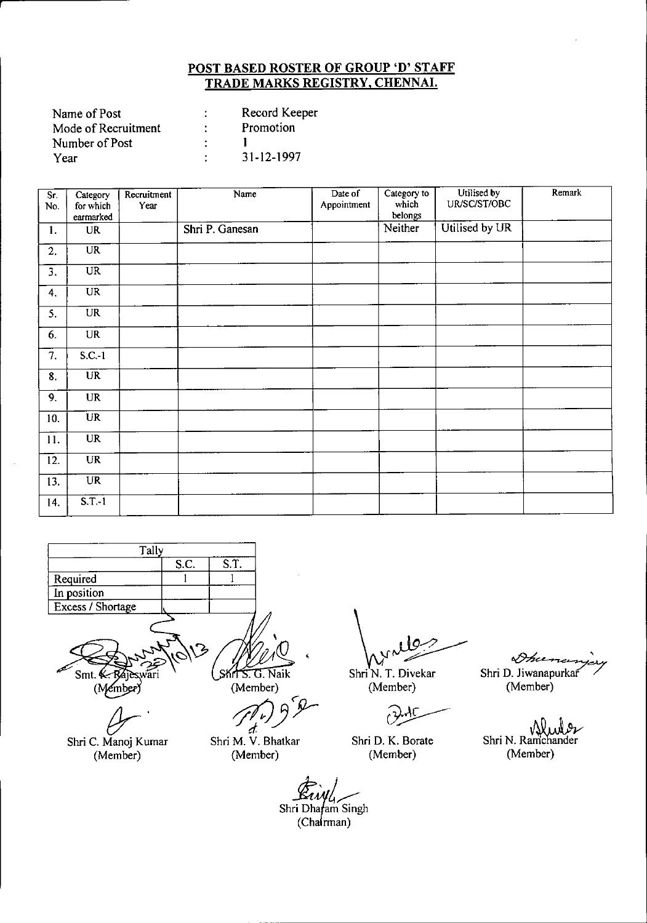| Name of Post        | Record Keeper |
|---------------------|---------------|
| Mode of Recruitment | Promotion     |
| Number of Post      |               |
| Year                | 31-12-1997    |

| Sr.              | Category        | Recruitment | Name            | Date of     | Category to      | Utilised by    | Remark |
|------------------|-----------------|-------------|-----------------|-------------|------------------|----------------|--------|
| No.              | for which       | Year        |                 | Appointment | which<br>belongs | UR/SC/ST/OBC   |        |
|                  | earmarked       |             |                 |             | Neither          | Utilised by UR |        |
| 1.               | <b>UR</b>       |             | Shri P. Ganesan |             |                  |                |        |
| 2.               | UR              |             |                 |             |                  |                |        |
| $\overline{3}$ . | <b>UR</b>       |             |                 |             |                  |                |        |
| 4.               | <b>UR</b>       |             |                 |             |                  |                |        |
| 5.               | UR.             |             |                 |             |                  |                |        |
| 6.               | <b>UR</b>       |             |                 |             |                  |                |        |
| 7.               | S.C.1           |             |                 |             |                  |                |        |
| 8.               | $\overline{UR}$ |             |                 |             |                  |                |        |
| 9.               | <b>UR</b>       |             |                 |             |                  |                |        |
| 10.              | <b>UR</b>       |             |                 |             |                  |                |        |
| 11.              | <b>UR</b>       |             |                 |             |                  |                |        |
| 12.              | <b>UR</b>       |             |                 |             |                  |                |        |
| 13.              | <b>UR</b>       |             |                 |             |                  |                |        |
| 14.              | S.T.1           |             |                 |             |                  |                |        |



 $\overline{a}$ . Shri C. Manoj Kumar (Member)

(Member)<br>*{* 

Shri M. V. Bhatkar (Member)

 $\int_{\mathcal{N}^{\mathcal{M}}}$ 

Shri N. T. Divekar (Member)

م<br>م

Shri D. K. Borate (Member)

Shri D. Jiwanapurkaf

(Member)

Shri N. Ramchander (Member)

Shri *\$,'* )<br>E*ivil<sub>y</sub>*<br>Dhafam Singh

(Chairman)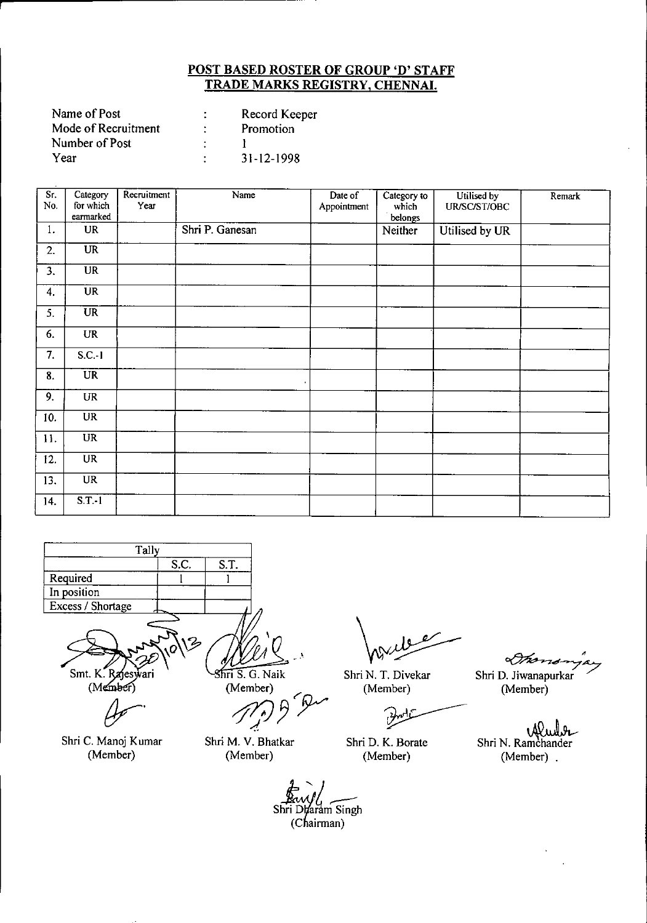| Record Keeper |
|---------------|
| Promotion     |
|               |
| 31-12-1998    |
|               |

r

| Sr.<br>No.       | Category<br>for which  | Recruitment<br>Year | Name            | Date of<br>Appointment | Category to<br>which | Utilised by<br>UR/SC/ST/OBC | Remark |
|------------------|------------------------|---------------------|-----------------|------------------------|----------------------|-----------------------------|--------|
|                  | earmarked              |                     |                 |                        | belongs              |                             |        |
| 1.               | <b>UR</b>              |                     | Shri P. Ganesan |                        | Neither              | Utilised by UR              |        |
| 2.               | UR                     |                     |                 |                        |                      |                             |        |
| $\overline{3}$ . | UR                     |                     |                 |                        |                      |                             |        |
| 4.               | <b>UR</b>              |                     |                 |                        |                      |                             |        |
| 5.               | $\overline{\text{UR}}$ |                     |                 |                        |                      |                             |        |
| 6.               | <b>UR</b>              |                     |                 |                        |                      |                             |        |
| 7.               | $S.C.-1$               |                     |                 |                        |                      |                             |        |
| 8.               | $\overline{UR}$        |                     |                 |                        |                      |                             |        |
| 9.               | <b>UR</b>              |                     |                 |                        |                      |                             |        |
| 10.              | $\overline{\text{UR}}$ |                     |                 |                        |                      |                             |        |
| 11.              | <b>UR</b>              |                     |                 |                        |                      |                             |        |
| 12.              | <b>UR</b>              |                     |                 |                        |                      |                             |        |
| 13.              | <b>UR</b>              |                     |                 |                        |                      |                             |        |
| 14.              | $S.T.-1$               |                     |                 |                        |                      |                             |        |



(Member)

 $4-$ 

Shri C. Manoj Kumar (Member)

 $\overline{\text{Shri S. G.}}$  Naik (Member)

*Member*)<br>*12. 9<sup>6</sup>PM* 

Shri M. V. Bhatkar (Member)

Shri N. T. Divekar (Member)

Shri D. K. Borate (Member)

 $\gamma$  is  $\gamma$ Shri D. Jiwanapurkar (Member)

*Wendor* Shri N. Ramchander (Member) .

Shri Dharam Singh (Chairman)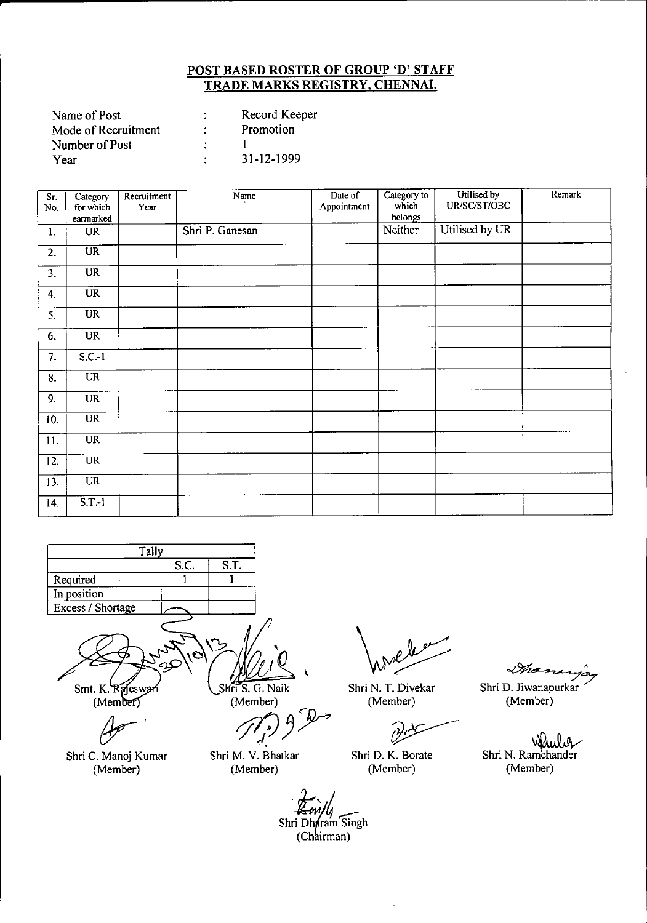| Record Keeper |
|---------------|
| Promotion     |
|               |
| 31-12-1999    |
|               |

| $\overline{S}$ r.<br>No. | Category<br>for which<br>earmarked | Recruitment<br>Year | Name            | Date of<br>Appointment | Category to<br>which<br>belongs | Utilised by<br>UR/SC/ST/OBC | Remark |
|--------------------------|------------------------------------|---------------------|-----------------|------------------------|---------------------------------|-----------------------------|--------|
| 1.                       | <b>UR</b>                          |                     | Shri P. Ganesan |                        | Neither                         | Utilised by UR              |        |
| 2.                       | $\overline{UR}$                    |                     |                 |                        |                                 |                             |        |
| 3.                       | $\overline{\text{UR}}$             |                     |                 |                        |                                 |                             |        |
| 4.                       | $\overline{\text{UR}}$             |                     |                 |                        |                                 |                             |        |
| 5.                       | <b>UR</b>                          |                     |                 |                        |                                 |                             |        |
| 6.                       | <b>UR</b>                          |                     |                 |                        |                                 |                             |        |
| 7.                       | $S.C.-1$                           |                     |                 |                        |                                 |                             |        |
| 8.                       | <b>UR</b>                          |                     |                 |                        |                                 |                             |        |
| 9.                       | <b>UR</b>                          |                     |                 |                        |                                 |                             |        |
| 10.                      | $\overline{\text{UR}}$             |                     |                 |                        |                                 |                             |        |
| 11.                      | UR                                 |                     |                 |                        |                                 |                             |        |
| 12.                      | <b>UR</b>                          |                     |                 |                        |                                 |                             |        |
| 13.                      | <b>UR</b>                          |                     |                 |                        |                                 |                             |        |
| 14.                      | S.T.1                              |                     |                 |                        |                                 |                             |        |



Shri C. Manoj Kumar (Member)

Shri M. V. Bhatkar

(Member)

Shri N. T. Divekar (Member)

V)

Shri D. K. Borate (Member)

ana ya Thamarya<br>Shri D. Jiwanapurkar

(Member)

Shri N. Ramchander (Member)

Shri Dharam Singh (Chairman)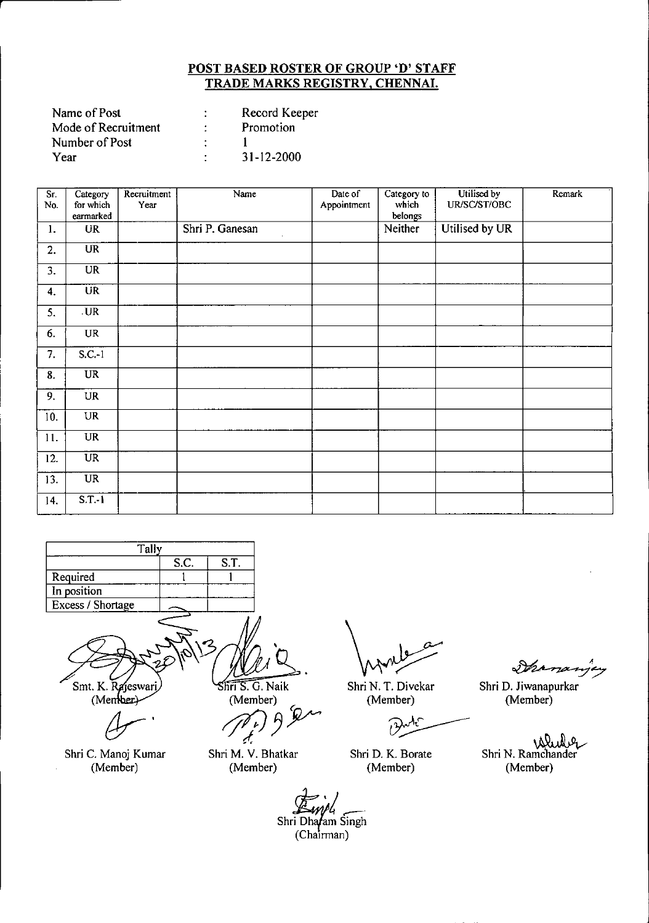| Name of Post        | Record Keeper    |
|---------------------|------------------|
| Mode of Recruitment | Promotion        |
| Number of Post      |                  |
| Year                | $31 - 12 - 2000$ |

| Sr.<br>No.     | Category<br>for which  | Recruitment<br>Year | Name                  | Date of<br>Appointment | Category to<br>which | Utilised by<br>UR/SC/ST/OBC | Remark |
|----------------|------------------------|---------------------|-----------------------|------------------------|----------------------|-----------------------------|--------|
|                | earmarked              |                     |                       |                        | belongs              |                             |        |
| $\mathbf{1}$ . | <b>UR</b>              |                     | Shri P. Ganesan<br>¥. |                        | Neither              | Utilised by UR              |        |
| 2.             | $\overline{\text{UR}}$ |                     |                       |                        |                      |                             |        |
| 3.             | <b>UR</b>              |                     |                       |                        |                      |                             |        |
| 4.             | <b>UR</b>              |                     |                       |                        |                      |                             |        |
| 5.             | $U_{R}$                |                     |                       |                        |                      |                             |        |
| 6.             | <b>UR</b>              |                     |                       |                        |                      |                             |        |
| 7.             | $S.C.-1$               |                     |                       |                        |                      |                             |        |
| 8.             | $\overline{UR}$        |                     |                       |                        |                      |                             |        |
| 9.             | <b>UR</b>              |                     |                       |                        |                      |                             |        |
| 10.            | UR                     |                     |                       |                        |                      |                             |        |
| 11.            | <b>UR</b>              |                     |                       |                        |                      |                             |        |
| 12.            | $\overline{UR}$        |                     |                       |                        |                      |                             |        |
| 13.            | $_{\rm UR}$            |                     |                       |                        |                      |                             |        |
| 14.            | $S.T.-1$               |                     |                       |                        |                      |                             |        |



Shri C. Manoj Kumar (Member)

Shri M. V. Bhatkar (Member)

Shri N. T. Divekar (Member)

 $\partial$ 

Shri D. K. Borate (Member)

Ihr 17

Shri D. Jiwanapurkar (Member)

Shri N. Ramchander (Member)

*ck:AA~j.-'* Shri Dha*f*am Singh (ChaIrman)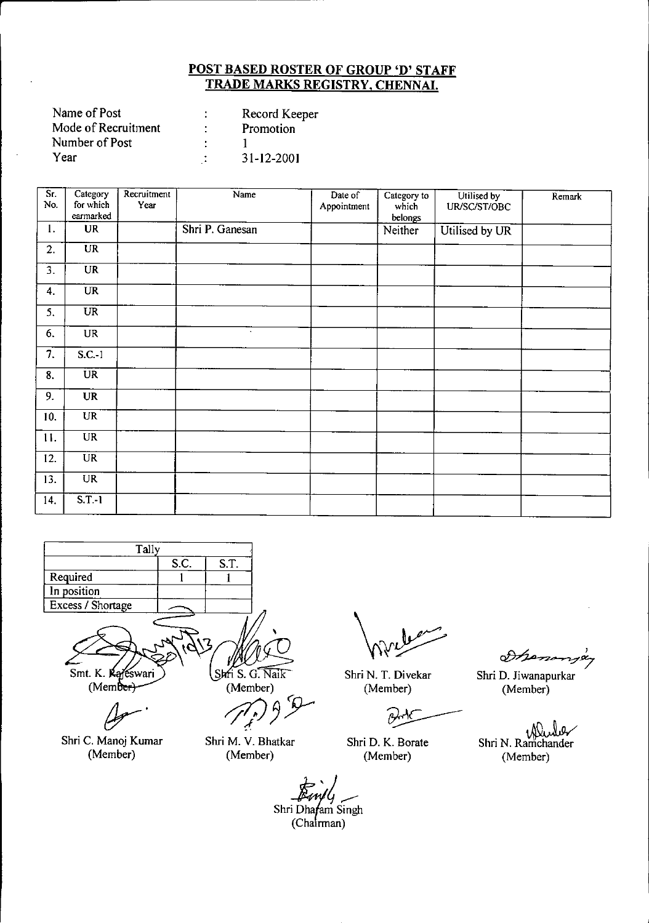| Name of Post        | Record Keeper |
|---------------------|---------------|
| Mode of Recruitment | Promotion     |
| Number of Post      |               |
| Year                | 31-12-2001    |

| Sr.<br>No. | Category<br>for which<br>earmarked | Recruitment<br>Year | Name            | Date of<br>Appointment | Category to<br>which<br>belongs | Utilised by<br>UR/SC/ST/OBC | Remark |
|------------|------------------------------------|---------------------|-----------------|------------------------|---------------------------------|-----------------------------|--------|
| 1.         | <b>UR</b>                          |                     | Shri P. Ganesan |                        | Neither                         | Utilised by UR              |        |
| 2.         | $\overline{UR}$                    |                     |                 |                        |                                 |                             |        |
| 3.         | <b>UR</b>                          |                     |                 |                        |                                 |                             |        |
| 4.         | <b>UR</b>                          |                     |                 |                        |                                 |                             |        |
| 5.         | $\overline{\text{UR}}$             |                     |                 |                        |                                 |                             |        |
| 6.         | <b>UR</b>                          |                     | $\bullet$       |                        |                                 |                             |        |
| 7.         | $S.C.-1$                           |                     |                 |                        |                                 |                             |        |
| 8.         | <b>UR</b>                          |                     |                 |                        |                                 |                             |        |
| 9.         | <b>UR</b>                          |                     |                 |                        |                                 |                             |        |
| 10.        | UR                                 |                     |                 |                        |                                 |                             |        |
| 11.        | <b>UR</b>                          |                     |                 |                        |                                 |                             |        |
| 12.        | $\overline{UR}$                    |                     |                 |                        |                                 |                             |        |
| 13.        | $\overline{\text{UR}}$             |                     |                 |                        |                                 |                             |        |
| 14.        | $S.T.-1$                           |                     |                 |                        |                                 |                             |        |



Smt. K. Kajeswari  $(Mem\overline{b}er)$ 

*Jr'*

Shri C. Manoj Kumar (Member)

Shri S. G. Naik

(Member)

Shri M. V. Bhatkar (Member)

Shri N. T. Divekar (Member)

Shri D. K. Borate (Member)

Dhenongey

Shri D. Jiwanapurkar (Member)

.~ Shri N. Ramchander (Member)

Shri Dhafam Singh (Chairman)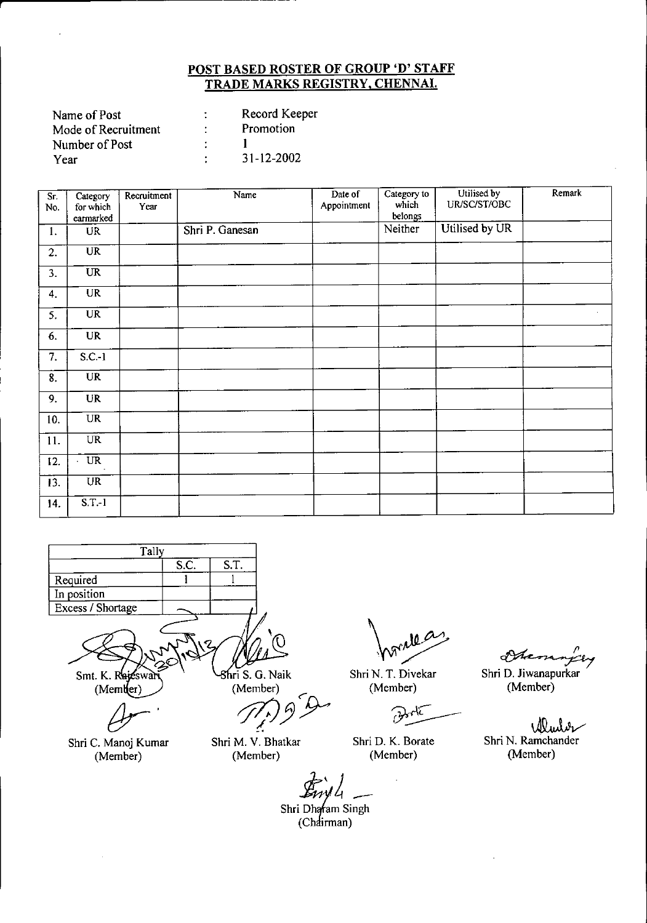| Name of Post        | Record Keeper |
|---------------------|---------------|
| Mode of Recruitment | Promotion     |
| Number of Post      |               |
| Year                | 31-12-2002    |
|                     |               |

| Sr.<br>No. | Category<br>for which<br>earmarked | Recruitment<br>Year | Name            | Date of<br>Appointment | Category to<br>which<br>belongs | Utilised by<br>UR/SC/ST/OBC | Remark |
|------------|------------------------------------|---------------------|-----------------|------------------------|---------------------------------|-----------------------------|--------|
| 1.         | <b>UR</b>                          |                     | Shri P. Ganesan |                        | Neither                         | Utilised by UR              |        |
| 2.         | <b>UR</b>                          |                     |                 |                        |                                 |                             |        |
| 3.         | <b>UR</b>                          |                     |                 |                        |                                 |                             |        |
| 4.         | <b>UR</b>                          |                     |                 |                        |                                 |                             |        |
| 5.         | <b>UR</b>                          |                     |                 |                        |                                 |                             | $\sim$ |
| 6.         | <b>UR</b>                          |                     |                 |                        |                                 |                             |        |
| 7.         | $S.C.-1$                           |                     |                 |                        |                                 |                             |        |
| 8.         | UR                                 |                     |                 |                        |                                 |                             |        |
| 9.         | <b>UR</b>                          |                     |                 |                        |                                 |                             |        |
| 10.        | UR                                 |                     |                 |                        |                                 |                             |        |
| 11.        | <b>UR</b>                          |                     |                 |                        |                                 |                             |        |
| 12.        | $\overline{UR}$                    |                     |                 |                        |                                 |                             |        |
| 13.        | <b>UR</b>                          |                     |                 |                        |                                 |                             |        |
| 14.        | $S$ T-1                            |                     |                 |                        |                                 |                             |        |



 $(Member)$ 

*(Jr'*

Shri C. Manoj Kumar (Member)

ri S. G. Naik (Member)

*rJ7/J:/y~*

Shri M. V. Bhatkar (Member)

Shri N. T. Divekar (Member)

Shri D. K. Borate (Member)

Stamming

Shri D. Jiwanapurkar (Member)

Wurbe Shr; N. Ramchander (Member)

 $\overrightarrow{E_{UV}}$  $\overrightarrow{L}$ <br>Shri Dhafam Singh

*Jaw 4*<br>| Dharam Si<br>(Chairman)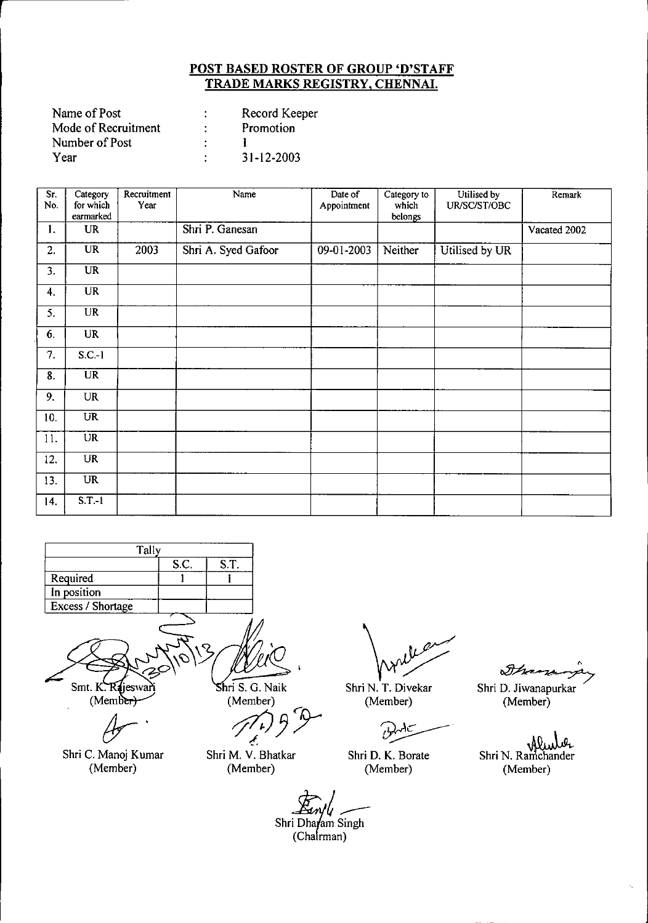| Record Keeper |
|---------------|
| Promotion     |
|               |
| 31-12-2003    |
|               |

| Sr.<br>No. | Category<br>for which<br>earmarked | Recruitment<br>Year | Name                | Date of<br>Appointment | Category to<br>which<br>belongs | Utilised by<br>UR/SC/ST/OBC | Remark       |
|------------|------------------------------------|---------------------|---------------------|------------------------|---------------------------------|-----------------------------|--------------|
| 1.         | <b>UR</b>                          |                     | Shri P. Ganesan     |                        |                                 |                             | Vacated 2002 |
| 2.         | $\overline{\text{UR}}$             | 2003                | Shri A. Syed Gafoor | 09-01-2003             | Neither                         | Utilised by UR              |              |
| 3.         | $\overline{\text{UR}}$             |                     |                     |                        |                                 |                             |              |
| 4.         | <b>UR</b>                          |                     |                     |                        |                                 |                             |              |
| 5.         | <b>UR</b>                          |                     |                     |                        |                                 |                             |              |
| 6.         | <b>UR</b>                          |                     |                     |                        |                                 |                             |              |
| 7.         | $S.C.-1$                           |                     |                     |                        |                                 |                             |              |
| 8.         | $\overline{\text{UR}}$             |                     |                     |                        |                                 |                             |              |
| 9.         | <b>UR</b>                          |                     |                     |                        |                                 |                             |              |
| 10.        | <b>UR</b>                          |                     |                     |                        |                                 |                             |              |
| 11.        | <b>UR</b>                          |                     |                     |                        |                                 |                             |              |
| 12.        | <b>UR</b>                          |                     |                     |                        |                                 |                             |              |
| 13.        | <b>UR</b>                          |                     |                     |                        |                                 |                             |              |
| 14.        | $S.T.-1$                           |                     |                     |                        |                                 |                             |              |



Shri C. Manoj Kumar (Member)

 $\mathcal{P}^{(\text{Member})}_{(t)}$ 

Shri M. V. Bhatkar (Member)

~

Shri N. T. Diveka (Member)

Shri D. K. Borate (Member)

o SAn

.<br>Shri D. Jiwanapurka (Member)

Shri N. Ramchander (Member)

Shri Dharam Singh<br>(Chairman)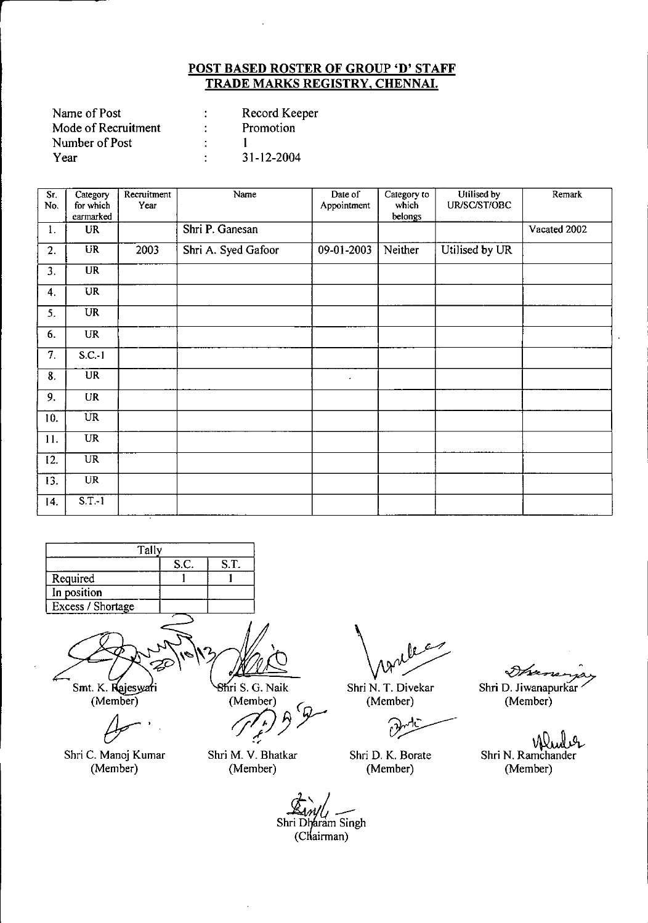| Name of Post        | Record Keeper    |
|---------------------|------------------|
| Mode of Recruitment | Promotion        |
| Number of Post      |                  |
| Year                | $31 - 12 - 2004$ |

r

| Sr.<br>No. | Category<br>for which      | Recruitment<br>Year | Name                | Date of<br>Appointment | Category to<br>which | Utilised by<br>UR/SC/ST/OBC | Remark       |
|------------|----------------------------|---------------------|---------------------|------------------------|----------------------|-----------------------------|--------------|
|            | earmarked                  |                     |                     |                        | belongs              |                             |              |
| 1.         | <b>UR</b>                  |                     | Shri P. Ganesan     |                        |                      |                             | Vacated 2002 |
| 2.         | <b>UR</b>                  | 2003                | Shri A. Syed Gafoor | 09-01-2003             | Neither              | Utilised by UR              |              |
| 3.         | <b>UR</b>                  |                     |                     |                        |                      |                             |              |
| 4.         | <b>UR</b>                  |                     |                     |                        |                      |                             |              |
| 5.         | <b>UR</b>                  |                     |                     |                        |                      |                             |              |
| 6.         | <b>UR</b>                  |                     |                     |                        |                      |                             |              |
| 7.         | $S.C.-1$                   |                     |                     |                        |                      |                             |              |
| 8.         | $\overline{UR}$            |                     |                     | $\bullet$              |                      |                             |              |
| 9.         | <b>UR</b>                  |                     |                     |                        |                      |                             |              |
| 10.        | <b>UR</b>                  |                     |                     |                        |                      |                             |              |
| 11.        | <b>UR</b>                  |                     |                     |                        |                      |                             |              |
| 12.        | $\overline{\text{UR}}$     |                     |                     |                        |                      |                             |              |
| 13.        | <b>UR</b>                  |                     |                     |                        |                      |                             |              |
| 4          | $\overline{\text{S.T.-1}}$ |                     |                     |                        |                      |                             |              |



Smt. K. Rajeswari  $(Member)$ 

Shri C. Manoj Kumar (Member)

 $8$ firi S. G. Naik

(Member)<br>(*1)*<br>*P* .,

Shri M. V. Bhatkar (Member)

 $v<sub>z</sub>$ 

Shri N. T. Divekar (Member)

 $\partial$ 

Shri D. K. Borate (Member)

◆

Shri D. Jiwanapurkar (Member)

Shri N. Ramchander (Member)

Shri Dharam Singh (Chairman)